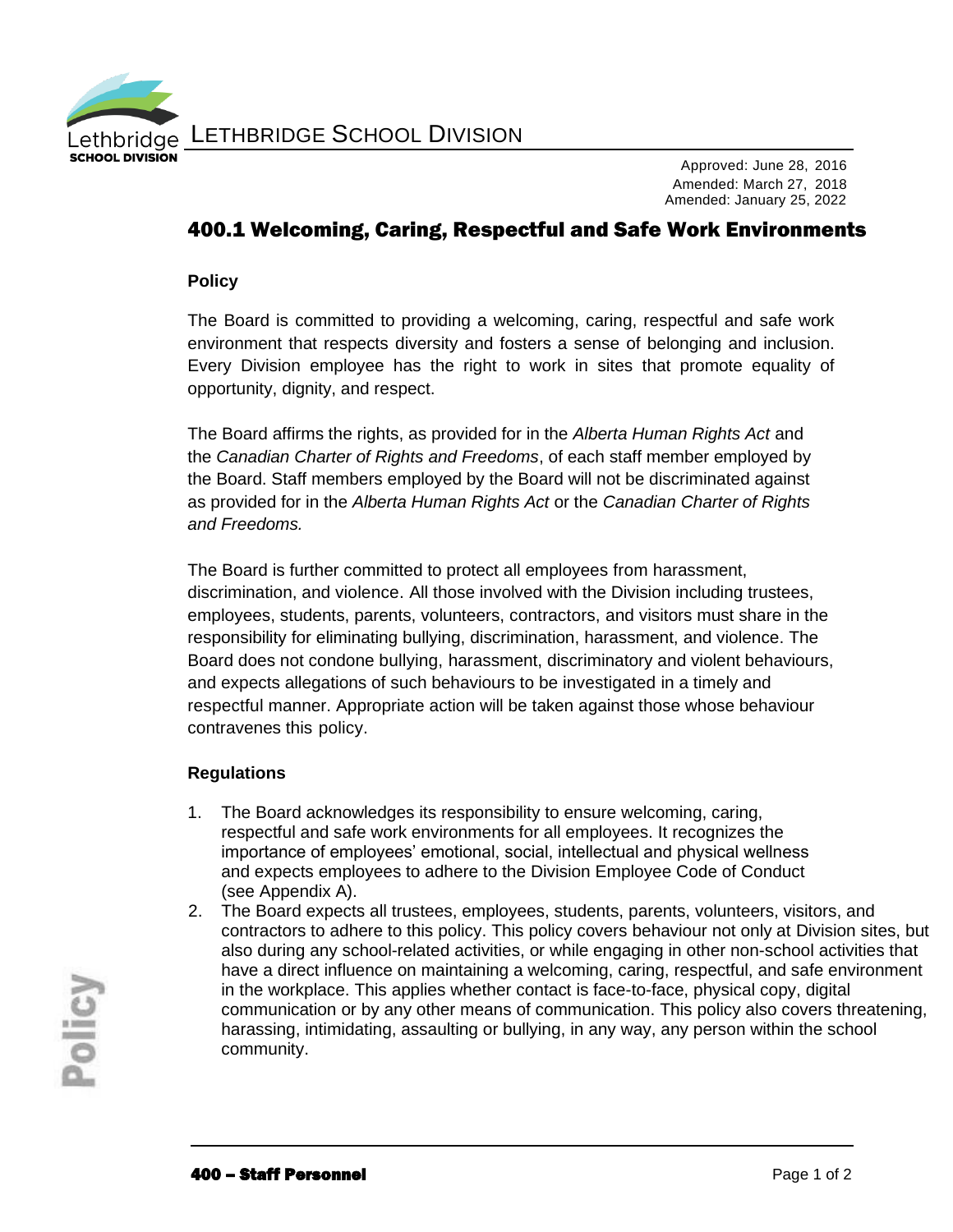

LETHBRIDGE SCHOOL DIVISION

Approved: June 28, 2016 Amended: March 27, 2018 Amended: January 25, 2022

## 400.1 Welcoming, Caring, Respectful and Safe Work Environments

## **Policy**

The Board is committed to providing a welcoming, caring, respectful and safe work environment that respects diversity and fosters a sense of belonging and inclusion. Every Division employee has the right to work in sites that promote equality of opportunity, dignity, and respect.

The Board affirms the rights, as provided for in the *Alberta Human Rights Act* and the *Canadian Charter of Rights and Freedoms*, of each staff member employed by the Board. Staff members employed by the Board will not be discriminated against as provided for in the *Alberta Human Rights Act* or the *Canadian Charter of Rights and Freedoms.*

The Board is further committed to protect all employees from harassment, discrimination, and violence. All those involved with the Division including trustees, employees, students, parents, volunteers, contractors, and visitors must share in the responsibility for eliminating bullying, discrimination, harassment, and violence. The Board does not condone bullying, harassment, discriminatory and violent behaviours, and expects allegations of such behaviours to be investigated in a timely and respectful manner. Appropriate action will be taken against those whose behaviour contravenes this policy.

## **Regulations**

- 1. The Board acknowledges its responsibility to ensure welcoming, caring, respectful and safe work environments for all employees. It recognizes the importance of employees' emotional, social, intellectual and physical wellness and expects employees to adhere to the Division Employee Code of Conduct (see Appendix A).
- 2. The Board expects all trustees, employees, students, parents, volunteers, visitors, and contractors to adhere to this policy. This policy covers behaviour not only at Division sites, but also during any school-related activities, or while engaging in other non-school activities that have a direct influence on maintaining a welcoming, caring, respectful, and safe environment in the workplace. This applies whether contact is face-to-face, physical copy, digital communication or by any other means of communication. This policy also covers threatening, harassing, intimidating, assaulting or bullying, in any way, any person within the school community.